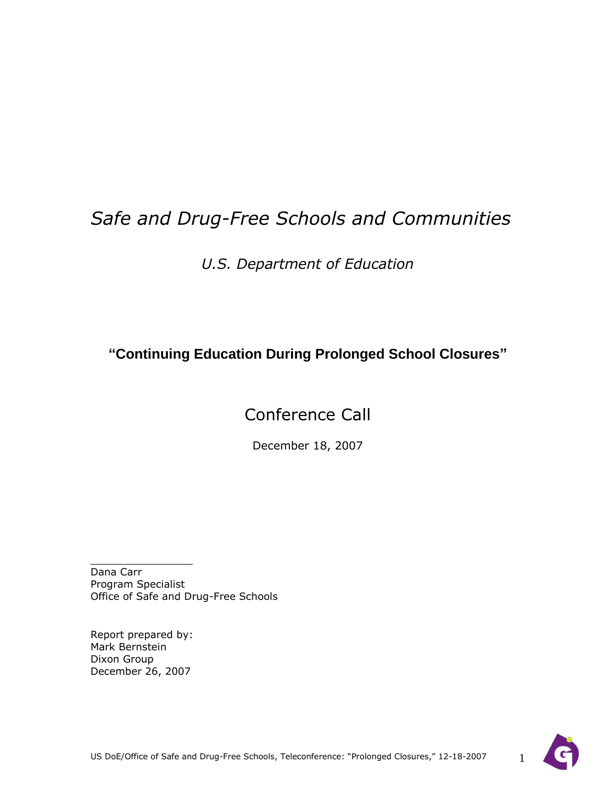# *Safe and Drug-Free Schools and Communities*

*U.S. Department of Education*

**"Continuing Education During Prolonged School Closures"**

## Conference Call

December 18, 2007

Dana Carr Program Specialist Office of Safe and Drug-Free Schools

Report prepared by: Mark Bernstein Dixon Group December 26, 2007

 $\_$ 

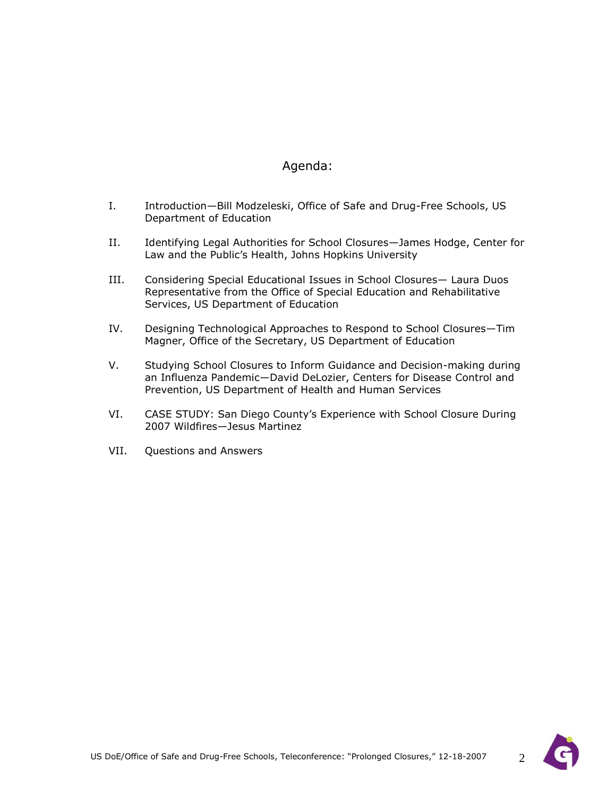### Agenda:

- I. Introduction—Bill Modzeleski, Office of Safe and Drug-Free Schools, US Department of Education
- II. Identifying Legal Authorities for School Closures—James Hodge, Center for Law and the Public's Health, Johns Hopkins University
- III. Considering Special Educational Issues in School Closures— Laura Duos Representative from the Office of Special Education and Rehabilitative Services, US Department of Education
- IV. Designing Technological Approaches to Respond to School Closures—Tim Magner, Office of the Secretary, US Department of Education
- V. Studying School Closures to Inform Guidance and Decision-making during an Influenza Pandemic—David DeLozier, Centers for Disease Control and Prevention, US Department of Health and Human Services
- VI. CASE STUDY: San Diego County's Experience with School Closure During 2007 Wildfires—Jesus Martinez
- VII. Questions and Answers

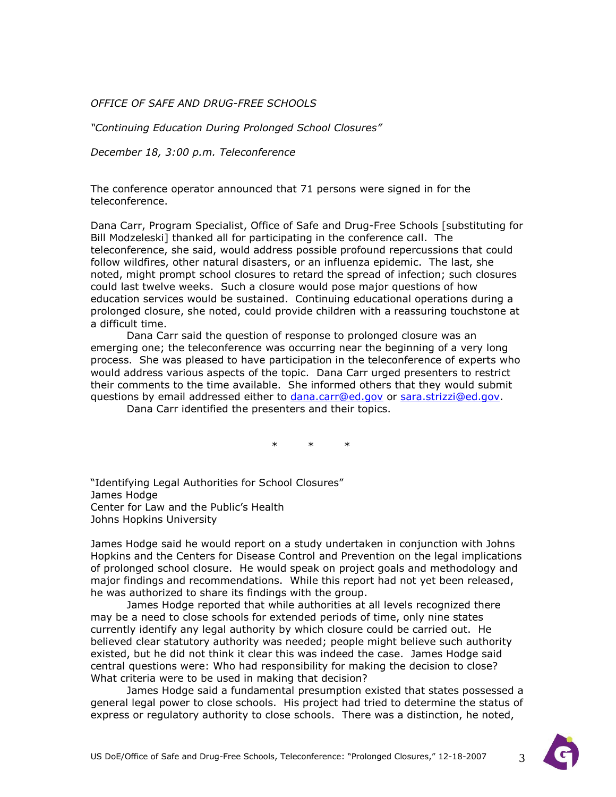*OFFICE OF SAFE AND DRUG-FREE SCHOOLS*

*"Continuing Education During Prolonged School Closures"*

*December 18, 3:00 p.m. Teleconference*

The conference operator announced that 71 persons were signed in for the teleconference.

Dana Carr, Program Specialist, Office of Safe and Drug-Free Schools [substituting for Bill Modzeleski] thanked all for participating in the conference call. The teleconference, she said, would address possible profound repercussions that could follow wildfires, other natural disasters, or an influenza epidemic. The last, she noted, might prompt school closures to retard the spread of infection; such closures could last twelve weeks. Such a closure would pose major questions of how education services would be sustained. Continuing educational operations during a prolonged closure, she noted, could provide children with a reassuring touchstone at a difficult time.

Dana Carr said the question of response to prolonged closure was an emerging one; the teleconference was occurring near the beginning of a very long process. She was pleased to have participation in the teleconference of experts who would address various aspects of the topic. Dana Carr urged presenters to restrict their comments to the time available. She informed others that they would submit questions by email addressed either to [dana.carr@ed.gov](mailto:dana.carr@ed.gov) or [sara.strizzi@ed.gov.](mailto:sara.strizzi@ed.gov)

Dana Carr identified the presenters and their topics.

\* \* \*

"Identifying Legal Authorities for School Closures" James Hodge Center for Law and the Public's Health Johns Hopkins University

James Hodge said he would report on a study undertaken in conjunction with Johns Hopkins and the Centers for Disease Control and Prevention on the legal implications of prolonged school closure. He would speak on project goals and methodology and major findings and recommendations. While this report had not yet been released, he was authorized to share its findings with the group.

James Hodge reported that while authorities at all levels recognized there may be a need to close schools for extended periods of time, only nine states currently identify any legal authority by which closure could be carried out. He believed clear statutory authority was needed; people might believe such authority existed, but he did not think it clear this was indeed the case. James Hodge said central questions were: Who had responsibility for making the decision to close? What criteria were to be used in making that decision?

James Hodge said a fundamental presumption existed that states possessed a general legal power to close schools. His project had tried to determine the status of express or regulatory authority to close schools. There was a distinction, he noted,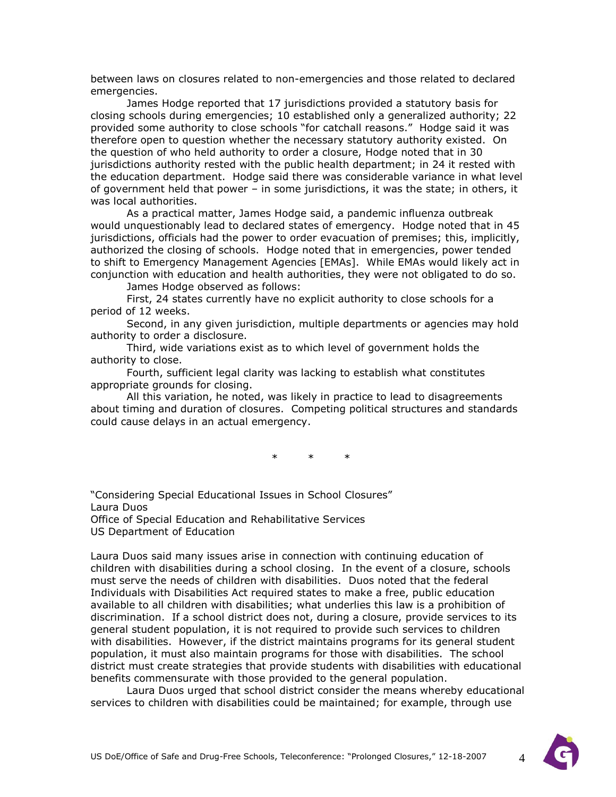between laws on closures related to non-emergencies and those related to declared emergencies.

James Hodge reported that 17 jurisdictions provided a statutory basis for closing schools during emergencies; 10 established only a generalized authority; 22 provided some authority to close schools "for catchall reasons." Hodge said it was therefore open to question whether the necessary statutory authority existed. On the question of who held authority to order a closure, Hodge noted that in 30 jurisdictions authority rested with the public health department; in 24 it rested with the education department. Hodge said there was considerable variance in what level of government held that power – in some jurisdictions, it was the state; in others, it was local authorities.

As a practical matter, James Hodge said, a pandemic influenza outbreak would unquestionably lead to declared states of emergency. Hodge noted that in 45 jurisdictions, officials had the power to order evacuation of premises; this, implicitly, authorized the closing of schools. Hodge noted that in emergencies, power tended to shift to Emergency Management Agencies [EMAs]. While EMAs would likely act in conjunction with education and health authorities, they were not obligated to do so.

James Hodge observed as follows:

First, 24 states currently have no explicit authority to close schools for a period of 12 weeks.

Second, in any given jurisdiction, multiple departments or agencies may hold authority to order a disclosure.

Third, wide variations exist as to which level of government holds the authority to close.

Fourth, sufficient legal clarity was lacking to establish what constitutes appropriate grounds for closing.

All this variation, he noted, was likely in practice to lead to disagreements about timing and duration of closures. Competing political structures and standards could cause delays in an actual emergency.

\* \* \*

―Considering Special Educational Issues in School Closures‖ Laura Duos Office of Special Education and Rehabilitative Services US Department of Education

Laura Duos said many issues arise in connection with continuing education of children with disabilities during a school closing. In the event of a closure, schools must serve the needs of children with disabilities. Duos noted that the federal Individuals with Disabilities Act required states to make a free, public education available to all children with disabilities; what underlies this law is a prohibition of discrimination. If a school district does not, during a closure, provide services to its general student population, it is not required to provide such services to children with disabilities. However, if the district maintains programs for its general student population, it must also maintain programs for those with disabilities. The school district must create strategies that provide students with disabilities with educational benefits commensurate with those provided to the general population.

Laura Duos urged that school district consider the means whereby educational services to children with disabilities could be maintained; for example, through use

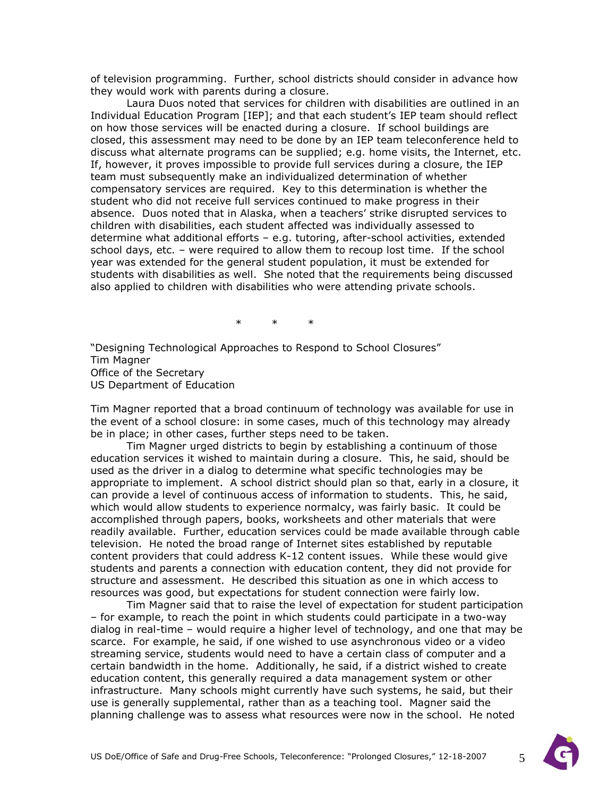of television programming. Further, school districts should consider in advance how they would work with parents during a closure.

Laura Duos noted that services for children with disabilities are outlined in an Individual Education Program [IEP]; and that each student's IEP team should reflect on how those services will be enacted during a closure. If school buildings are closed, this assessment may need to be done by an IEP team teleconference held to discuss what alternate programs can be supplied; e.g. home visits, the Internet, etc. If, however, it proves impossible to provide full services during a closure, the IEP team must subsequently make an individualized determination of whether compensatory services are required. Key to this determination is whether the student who did not receive full services continued to make progress in their absence. Duos noted that in Alaska, when a teachers' strike disrupted services to children with disabilities, each student affected was individually assessed to determine what additional efforts – e.g. tutoring, after-school activities, extended school days, etc. – were required to allow them to recoup lost time. If the school year was extended for the general student population, it must be extended for students with disabilities as well. She noted that the requirements being discussed also applied to children with disabilities who were attending private schools.

\* \* \*

"Designing Technological Approaches to Respond to School Closures" Tim Magner Office of the Secretary US Department of Education

Tim Magner reported that a broad continuum of technology was available for use in the event of a school closure: in some cases, much of this technology may already be in place; in other cases, further steps need to be taken.

Tim Magner urged districts to begin by establishing a continuum of those education services it wished to maintain during a closure. This, he said, should be used as the driver in a dialog to determine what specific technologies may be appropriate to implement. A school district should plan so that, early in a closure, it can provide a level of continuous access of information to students. This, he said, which would allow students to experience normalcy, was fairly basic. It could be accomplished through papers, books, worksheets and other materials that were readily available. Further, education services could be made available through cable television. He noted the broad range of Internet sites established by reputable content providers that could address K-12 content issues. While these would give students and parents a connection with education content, they did not provide for structure and assessment. He described this situation as one in which access to resources was good, but expectations for student connection were fairly low.

Tim Magner said that to raise the level of expectation for student participation – for example, to reach the point in which students could participate in a two-way dialog in real-time – would require a higher level of technology, and one that may be scarce. For example, he said, if one wished to use asynchronous video or a video streaming service, students would need to have a certain class of computer and a certain bandwidth in the home. Additionally, he said, if a district wished to create education content, this generally required a data management system or other infrastructure. Many schools might currently have such systems, he said, but their use is generally supplemental, rather than as a teaching tool. Magner said the planning challenge was to assess what resources were now in the school. He noted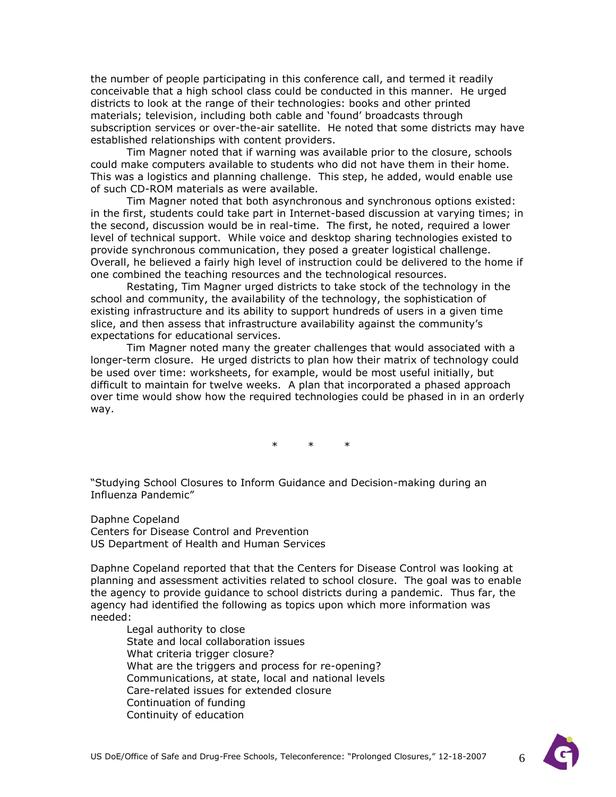the number of people participating in this conference call, and termed it readily conceivable that a high school class could be conducted in this manner. He urged districts to look at the range of their technologies: books and other printed materials; television, including both cable and 'found' broadcasts through subscription services or over-the-air satellite. He noted that some districts may have established relationships with content providers.

Tim Magner noted that if warning was available prior to the closure, schools could make computers available to students who did not have them in their home. This was a logistics and planning challenge. This step, he added, would enable use of such CD-ROM materials as were available.

Tim Magner noted that both asynchronous and synchronous options existed: in the first, students could take part in Internet-based discussion at varying times; in the second, discussion would be in real-time. The first, he noted, required a lower level of technical support. While voice and desktop sharing technologies existed to provide synchronous communication, they posed a greater logistical challenge. Overall, he believed a fairly high level of instruction could be delivered to the home if one combined the teaching resources and the technological resources.

Restating, Tim Magner urged districts to take stock of the technology in the school and community, the availability of the technology, the sophistication of existing infrastructure and its ability to support hundreds of users in a given time slice, and then assess that infrastructure availability against the community's expectations for educational services.

Tim Magner noted many the greater challenges that would associated with a longer-term closure. He urged districts to plan how their matrix of technology could be used over time: worksheets, for example, would be most useful initially, but difficult to maintain for twelve weeks. A plan that incorporated a phased approach over time would show how the required technologies could be phased in in an orderly way.

\* \* \*

―Studying School Closures to Inform Guidance and Decision-making during an Influenza Pandemic"

Daphne Copeland Centers for Disease Control and Prevention US Department of Health and Human Services

Daphne Copeland reported that that the Centers for Disease Control was looking at planning and assessment activities related to school closure. The goal was to enable the agency to provide guidance to school districts during a pandemic. Thus far, the agency had identified the following as topics upon which more information was needed:

Legal authority to close State and local collaboration issues What criteria trigger closure? What are the triggers and process for re-opening? Communications, at state, local and national levels Care-related issues for extended closure Continuation of funding Continuity of education

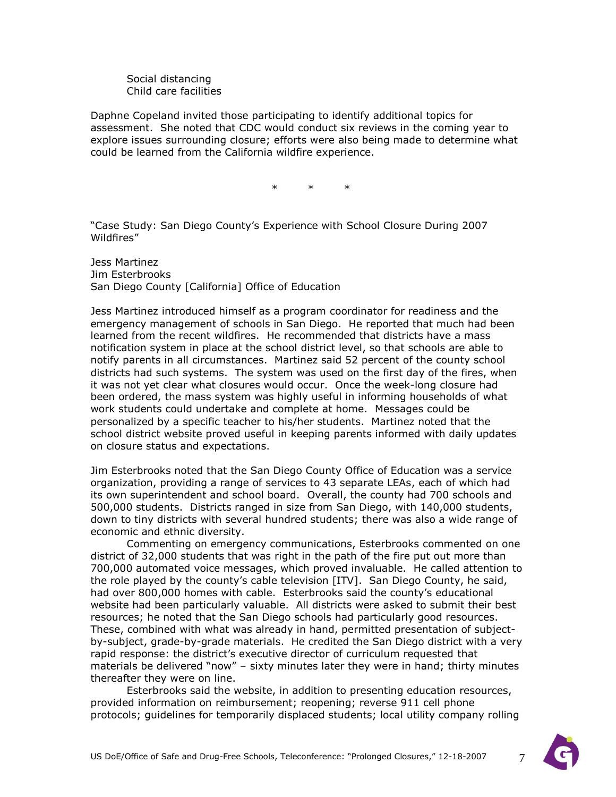Social distancing Child care facilities

Daphne Copeland invited those participating to identify additional topics for assessment. She noted that CDC would conduct six reviews in the coming year to explore issues surrounding closure; efforts were also being made to determine what could be learned from the California wildfire experience.

\* \* \*

―Case Study: San Diego County's Experience with School Closure During 2007 Wildfires"

Jess Martinez Jim Esterbrooks San Diego County [California] Office of Education

Jess Martinez introduced himself as a program coordinator for readiness and the emergency management of schools in San Diego. He reported that much had been learned from the recent wildfires. He recommended that districts have a mass notification system in place at the school district level, so that schools are able to notify parents in all circumstances. Martinez said 52 percent of the county school districts had such systems. The system was used on the first day of the fires, when it was not yet clear what closures would occur. Once the week-long closure had been ordered, the mass system was highly useful in informing households of what work students could undertake and complete at home. Messages could be personalized by a specific teacher to his/her students. Martinez noted that the school district website proved useful in keeping parents informed with daily updates on closure status and expectations.

Jim Esterbrooks noted that the San Diego County Office of Education was a service organization, providing a range of services to 43 separate LEAs, each of which had its own superintendent and school board. Overall, the county had 700 schools and 500,000 students. Districts ranged in size from San Diego, with 140,000 students, down to tiny districts with several hundred students; there was also a wide range of economic and ethnic diversity.

Commenting on emergency communications, Esterbrooks commented on one district of 32,000 students that was right in the path of the fire put out more than 700,000 automated voice messages, which proved invaluable. He called attention to the role played by the county's cable television [ITV]. San Diego County, he said, had over 800,000 homes with cable. Esterbrooks said the county's educational website had been particularly valuable. All districts were asked to submit their best resources; he noted that the San Diego schools had particularly good resources. These, combined with what was already in hand, permitted presentation of subjectby-subject, grade-by-grade materials. He credited the San Diego district with a very rapid response: the district's executive director of curriculum requested that materials be delivered "now" – sixty minutes later they were in hand; thirty minutes thereafter they were on line.

Esterbrooks said the website, in addition to presenting education resources, provided information on reimbursement; reopening; reverse 911 cell phone protocols; guidelines for temporarily displaced students; local utility company rolling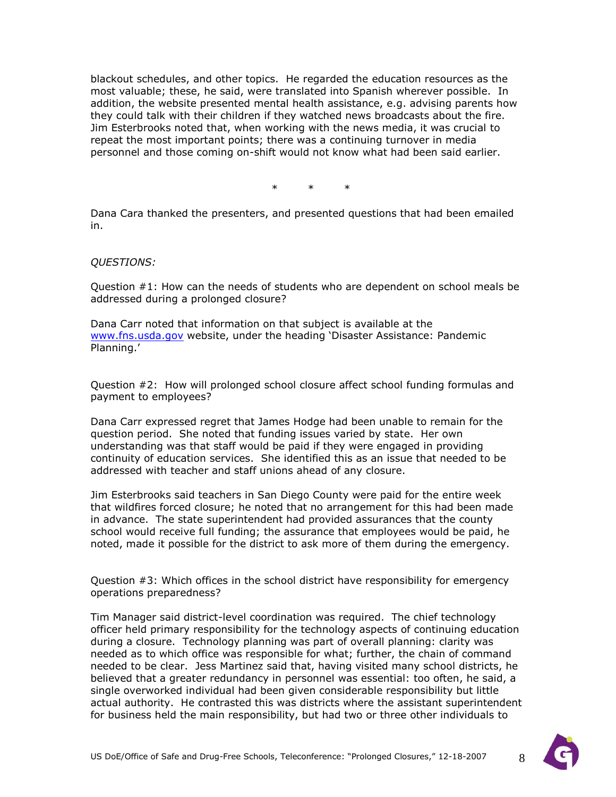blackout schedules, and other topics. He regarded the education resources as the most valuable; these, he said, were translated into Spanish wherever possible. In addition, the website presented mental health assistance, e.g. advising parents how they could talk with their children if they watched news broadcasts about the fire. Jim Esterbrooks noted that, when working with the news media, it was crucial to repeat the most important points; there was a continuing turnover in media personnel and those coming on-shift would not know what had been said earlier.

\* \* \*

Dana Cara thanked the presenters, and presented questions that had been emailed in.

#### *QUESTIONS:*

Question #1: How can the needs of students who are dependent on school meals be addressed during a prolonged closure?

Dana Carr noted that information on that subject is available at the [www.fns.usda.gov](http://www.fns.usda.gov/) website, under the heading 'Disaster Assistance: Pandemic Planning.'

Question #2: How will prolonged school closure affect school funding formulas and payment to employees?

Dana Carr expressed regret that James Hodge had been unable to remain for the question period. She noted that funding issues varied by state. Her own understanding was that staff would be paid if they were engaged in providing continuity of education services. She identified this as an issue that needed to be addressed with teacher and staff unions ahead of any closure.

Jim Esterbrooks said teachers in San Diego County were paid for the entire week that wildfires forced closure; he noted that no arrangement for this had been made in advance. The state superintendent had provided assurances that the county school would receive full funding; the assurance that employees would be paid, he noted, made it possible for the district to ask more of them during the emergency.

Question #3: Which offices in the school district have responsibility for emergency operations preparedness?

Tim Manager said district-level coordination was required. The chief technology officer held primary responsibility for the technology aspects of continuing education during a closure. Technology planning was part of overall planning: clarity was needed as to which office was responsible for what; further, the chain of command needed to be clear. Jess Martinez said that, having visited many school districts, he believed that a greater redundancy in personnel was essential: too often, he said, a single overworked individual had been given considerable responsibility but little actual authority. He contrasted this was districts where the assistant superintendent for business held the main responsibility, but had two or three other individuals to

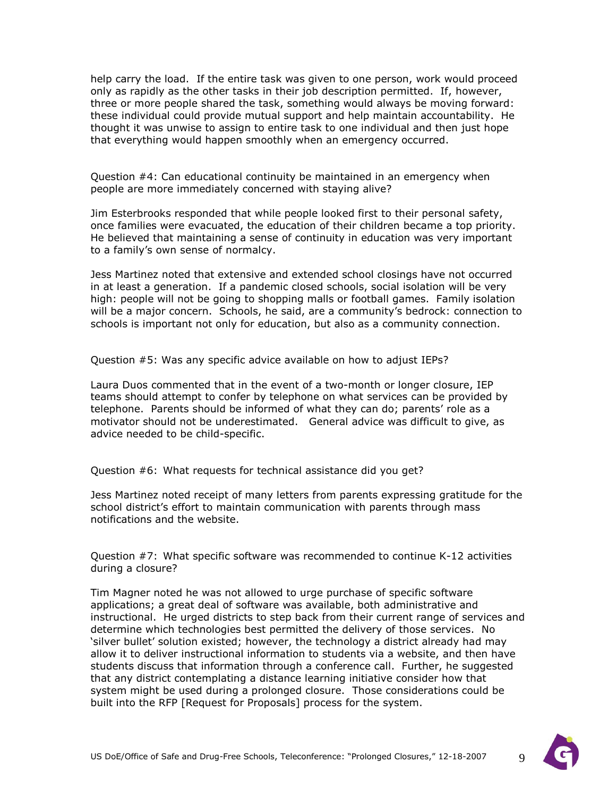help carry the load. If the entire task was given to one person, work would proceed only as rapidly as the other tasks in their job description permitted. If, however, three or more people shared the task, something would always be moving forward: these individual could provide mutual support and help maintain accountability. He thought it was unwise to assign to entire task to one individual and then just hope that everything would happen smoothly when an emergency occurred.

Question #4: Can educational continuity be maintained in an emergency when people are more immediately concerned with staying alive?

Jim Esterbrooks responded that while people looked first to their personal safety, once families were evacuated, the education of their children became a top priority. He believed that maintaining a sense of continuity in education was very important to a family's own sense of normalcy.

Jess Martinez noted that extensive and extended school closings have not occurred in at least a generation. If a pandemic closed schools, social isolation will be very high: people will not be going to shopping malls or football games. Family isolation will be a major concern. Schools, he said, are a community's bedrock: connection to schools is important not only for education, but also as a community connection.

Question #5: Was any specific advice available on how to adjust IEPs?

Laura Duos commented that in the event of a two-month or longer closure, IEP teams should attempt to confer by telephone on what services can be provided by telephone. Parents should be informed of what they can do; parents' role as a motivator should not be underestimated. General advice was difficult to give, as advice needed to be child-specific.

Question #6: What requests for technical assistance did you get?

Jess Martinez noted receipt of many letters from parents expressing gratitude for the school district's effort to maintain communication with parents through mass notifications and the website.

Question #7: What specific software was recommended to continue K-12 activities during a closure?

Tim Magner noted he was not allowed to urge purchase of specific software applications; a great deal of software was available, both administrative and instructional. He urged districts to step back from their current range of services and determine which technologies best permitted the delivery of those services. No `silver bullet' solution existed; however, the technology a district already had may allow it to deliver instructional information to students via a website, and then have students discuss that information through a conference call. Further, he suggested that any district contemplating a distance learning initiative consider how that system might be used during a prolonged closure. Those considerations could be built into the RFP [Request for Proposals] process for the system.